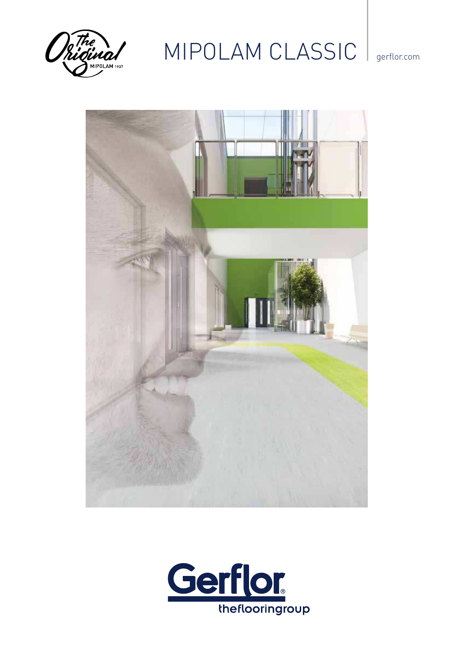

## MIPOLAM CLASSIC | gerflor.com



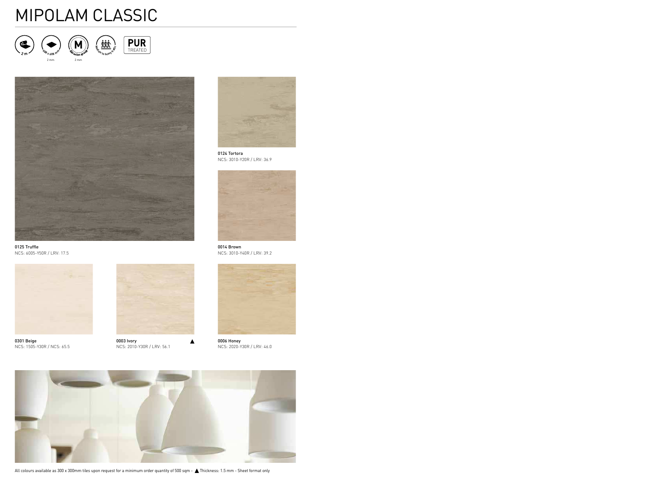# MIPOLAM CLASSIC



**<sup>6</sup>0<sup>8</sup> <sup>x</sup> <sup>6</sup>0<sup>8</sup> <sup>m</sup><sup>m</sup>** 2 mm 2 mm







0125 Truffle NCS: 6005-Y50R / LRV: 17.5



0301 Beige NCS: 1505-Y30R / NCS: 65.5



0003 Ivory NCS: 2010-Y30R / LRV: 56.1



0124 Tortora NCS: 3010-Y20R / LRV: 36.9



0014 Brown NCS: 3010-Y40R / LRV: 39.2



0006 Honey NCS: 2020-Y30R / LRV: 46.0



All colours available as 300 x 300mm tiles upon request for a minimum order quantity of 500 sqm -  $\triangle$  Thickness: 1.5 mm - Sheet format only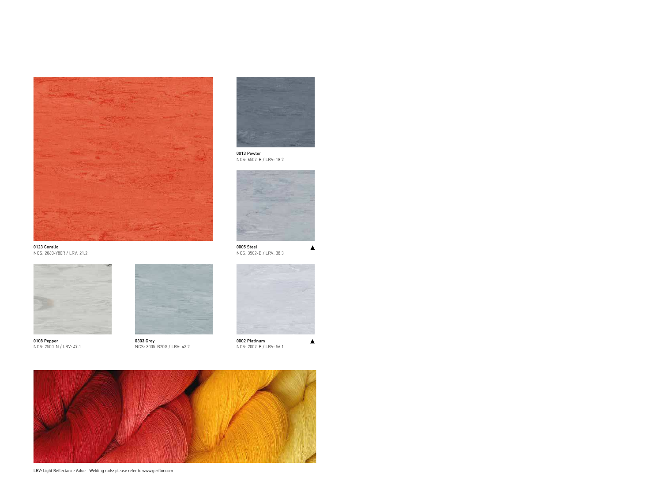



0013 Pewter NCS: 6502-B / LRV: 18.2



0005 Steel NCS: 3502-B / LRV: 38.3



/ LRV: 49.1



0303 Grey NCS: 3005-B20G / LRV: 42.2



0002 Platinum NCS: 2002-B / LRV: 56.1



LRV: Light Reflectance Value - Welding rods: please refer to www.gerflor.com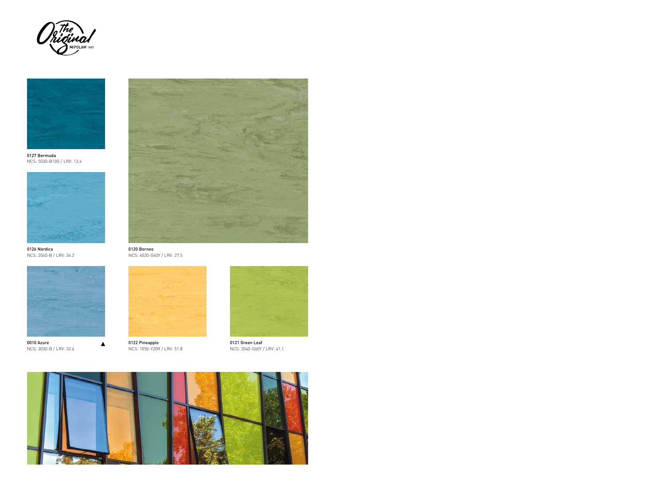



0127 Bermuda NCS: 5030-B10G / LRV: 13.4



0126 Nordica NCS: 2040-B / LRV: 34.2



▲

0010 Azure NCS: 3030-B / LRV: 32.6



0120 Borneo NCS: 4020-G40Y / LRV: 27.5



0122 Pineapple NCS: 1050-Y20R / LRV: 51.8



0121 Green Leaf NCS: 2040-G60Y / LRV: 41.1

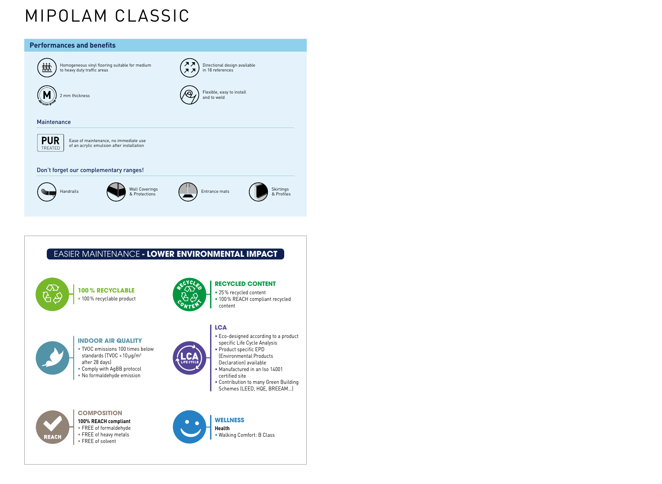# MIPOLAM CLASSIC

### **Performances and benefits**



Homogeneous vinyl flooring suitable for medium to heavy duty traffic areas

2 mm thickness **Flexible, easy to install and to weld** and to weld and to weld and to weld and to weld

#### hance



Ease of maintenance, no immediate use  $\left\{ \begin{array}{ll} \infty & \text{Ease of maintenance, no immediate use} \ 0 & \text{of an acrylic emulsion after installation} \end{array} \right.$ 

#### rget our complementary ranges!



Wall Coverings (Networks All Coverings (Networks All Coverings Skirtings ) Entrance mats (Networks All Coverings Skirtings )

Directional design available

in 18 references



**ER MAINTENANCE - LOWER ENVIRONMENTAL IMPACT** 

#### **100 % RECYCLABLE**

**•** 100 % recyclable product

**INDOOR AIR QUALITY •** TVOC emissions 100 times below standards (TVOC < 10  $\mu$ g/m $^3$ 

**•** Comply with AgBB protocol **•** No formaldehyde emission



#### **RECYCLED CONTENT**

- 25 % recycled content
- 100 % REACH compliant recycled content

#### **LCA**

- **•** Eco-designed according to a product specific Life Cycle Analysis
- **•** Product specific EPD (Environmental Products Declaration) available
- **•** Manufactured in an Iso 14001 certified site
- **•** Contribution to many Green Building Schemes (LEED, HQE, BREEAM…)



### **COMPOSITION**

after 28 days)

- **100% REACH compliant**
- **•** FREE of formaldehyde
- **•** FREE of heavy metals
- **•** FREE of solvent



#### **WELLNESS**

**Health •** Walking Comfort: B Class